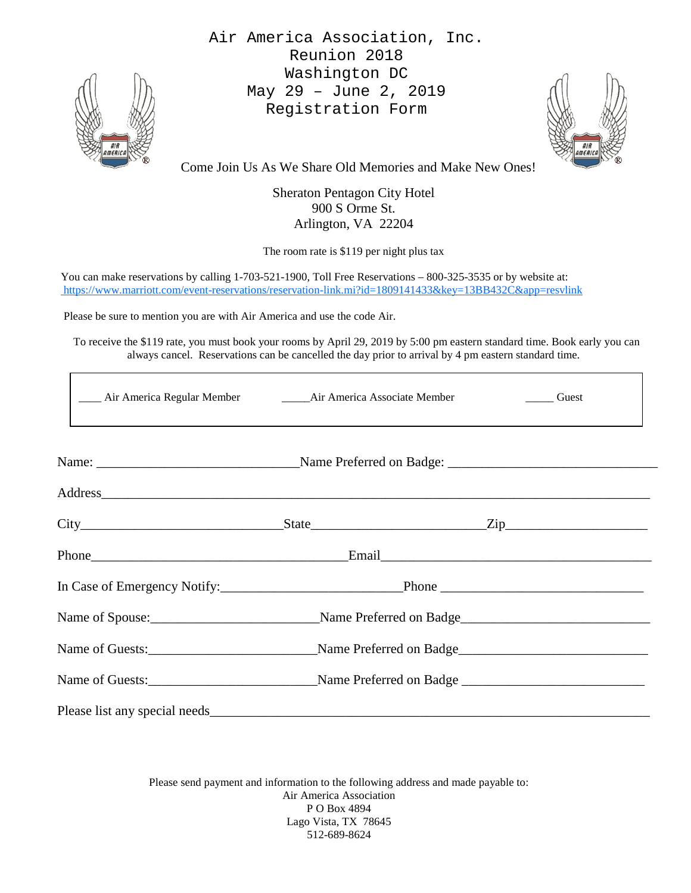

Air America Association, Inc. Reunion 2018 Washington DC May 29 – June 2, 2019 Registration Form



Come Join Us As We Share Old Memories and Make New Ones!

Sheraton Pentagon City Hotel 900 S Orme St. Arlington, VA 22204

The room rate is \$119 per night plus tax

You can make reservations by calling 1-703-521-1900, Toll Free Reservations – 800-325-3535 or by website at: <https://www.marriott.com/event-reservations/reservation-link.mi?id=1809141433&key=13BB432C&app=resvlink>

Please be sure to mention you are with Air America and use the code Air.

 To receive the \$119 rate, you must book your rooms by April 29, 2019 by 5:00 pm eastern standard time. Book early you can always cancel. Reservations can be cancelled the day prior to arrival by 4 pm eastern standard time.

| ____ Air America Regular Member ________ Air America Associate Member _________ Guest                                                                                                                                          |  |
|--------------------------------------------------------------------------------------------------------------------------------------------------------------------------------------------------------------------------------|--|
|                                                                                                                                                                                                                                |  |
| Address and the contract of the contract of the contract of the contract of the contract of the contract of the contract of the contract of the contract of the contract of the contract of the contract of the contract of th |  |
| $City$ $City$ $Step$ $Zip$                                                                                                                                                                                                     |  |
|                                                                                                                                                                                                                                |  |
|                                                                                                                                                                                                                                |  |
| Name of Spouse:<br>Mame Preferred on Badge<br>Mame Preferred on Badge                                                                                                                                                          |  |
|                                                                                                                                                                                                                                |  |
|                                                                                                                                                                                                                                |  |
|                                                                                                                                                                                                                                |  |

Please send payment and information to the following address and made payable to: Air America Association P O Box 4894 Lago Vista, TX 78645 512-689-8624